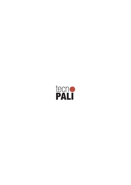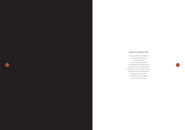## SYNERGY AS A DISTINCTIVE TRAIT

Today, Tecnopali relies on the expertise of two highly qualified partners in the industrial sector: San Polo Lamiere and Carpenter. The integration of the production chain enhances the know-how consolidated by Tecnopali in the course of 40 years of business. The goal is to ensure innovative solutions, becoming a benchmark company in the market of supports for lighting, communications and energy.

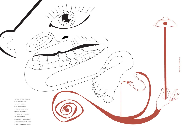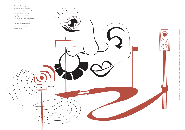

 traffic light supports, signboards, pedestrian poles, urban highways, car parks, large squares, telecommunications and surveillance cameras traffic light supports, signboards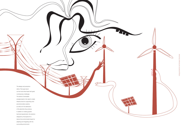

 $\sqrt{1}$ 

 $\mathbb{P}^1$ 

The design and production skills of Tecnopali stand out the most when faced with great contemporary challenges. The advent of renewable energies leads to the need to create infrastructures for supporting wind and photovoltaic systems, as well as for the distribution of the electricity they produce. In addition to meeting specific technical requirements, the solutions designed by Tecnopali aim to reduce the environmental impact by adapting and integrating with the surrounding environment.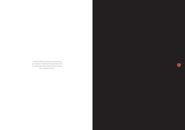"Tecnopali translates the elements as a sign of forefront such as street art, interpreting the space that opens tiself to a contemporary sensory experience able to immerse men in surprising scenarios."